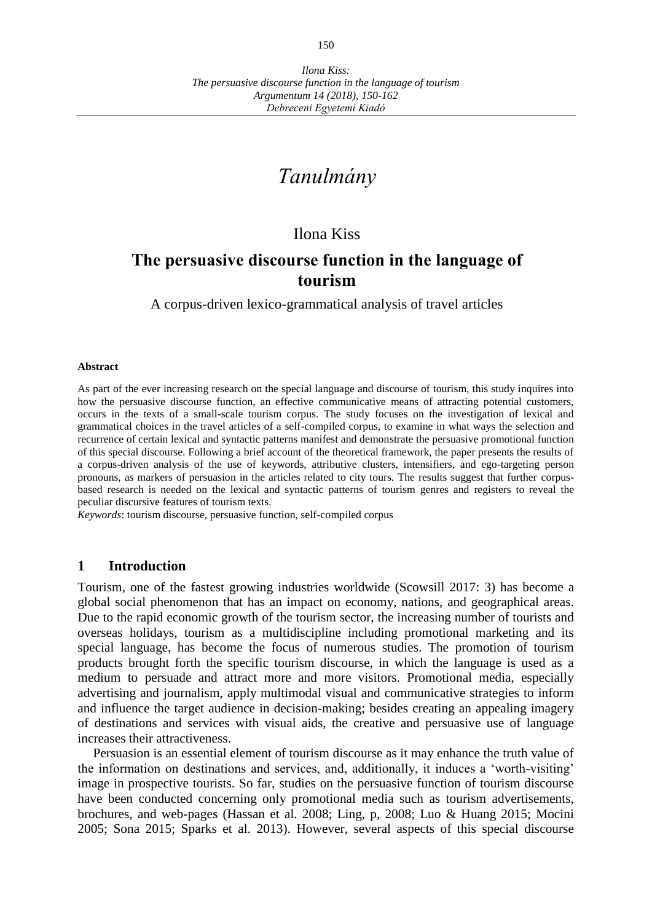# *Tanulmány*

## Ilona Kiss

## **The persuasive discourse function in the language of tourism**

A corpus-driven lexico-grammatical analysis of travel articles

#### **Abstract**

As part of the ever increasing research on the special language and discourse of tourism, this study inquires into how the persuasive discourse function, an effective communicative means of attracting potential customers, occurs in the texts of a small-scale tourism corpus. The study focuses on the investigation of lexical and grammatical choices in the travel articles of a self-compiled corpus, to examine in what ways the selection and recurrence of certain lexical and syntactic patterns manifest and demonstrate the persuasive promotional function of this special discourse. Following a brief account of the theoretical framework, the paper presents the results of a corpus-driven analysis of the use of keywords, attributive clusters, intensifiers, and ego-targeting person pronouns, as markers of persuasion in the articles related to city tours. The results suggest that further corpusbased research is needed on the lexical and syntactic patterns of tourism genres and registers to reveal the peculiar discursive features of tourism texts.

*Keywords*: tourism discourse, persuasive function, self-compiled corpus

#### **1 Introduction**

Tourism, one of the fastest growing industries worldwide (Scowsill 2017: 3) has become a global social phenomenon that has an impact on economy, nations, and geographical areas. Due to the rapid economic growth of the tourism sector, the increasing number of tourists and overseas holidays, tourism as a multidiscipline including promotional marketing and its special language, has become the focus of numerous studies. The promotion of tourism products brought forth the specific tourism discourse, in which the language is used as a medium to persuade and attract more and more visitors. Promotional media, especially advertising and journalism, apply multimodal visual and communicative strategies to inform and influence the target audience in decision-making; besides creating an appealing imagery of destinations and services with visual aids, the creative and persuasive use of language increases their attractiveness.

Persuasion is an essential element of tourism discourse as it may enhance the truth value of the information on destinations and services, and, additionally, it induces a 'worth-visiting' image in prospective tourists. So far, studies on the persuasive function of tourism discourse have been conducted concerning only promotional media such as tourism advertisements, brochures, and web-pages (Hassan et al. 2008; Ling, p, 2008; Luo & Huang 2015; Mocini 2005; Sona 2015; Sparks et al. 2013). However, several aspects of this special discourse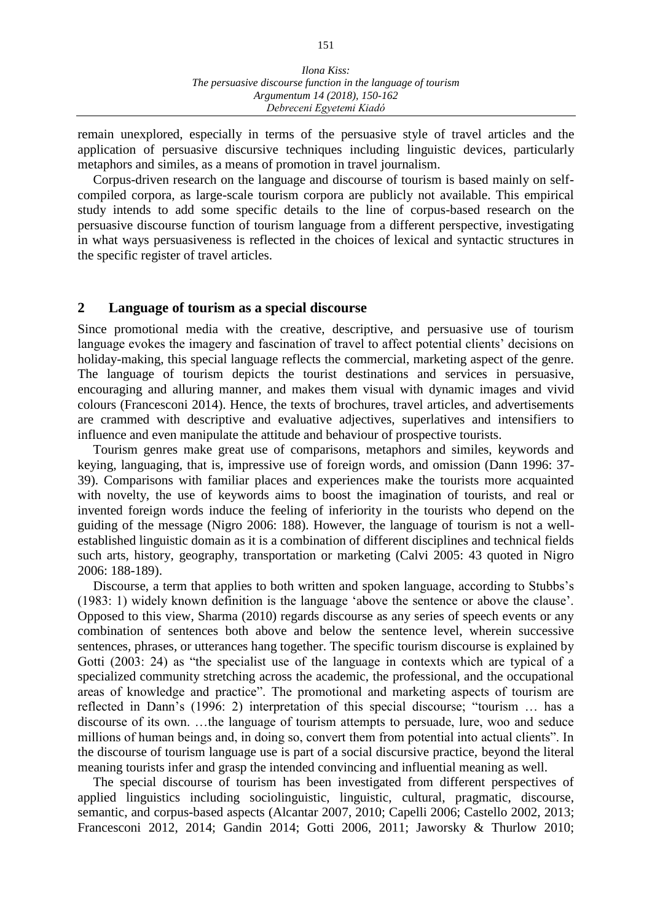remain unexplored, especially in terms of the persuasive style of travel articles and the application of persuasive discursive techniques including linguistic devices, particularly metaphors and similes, as a means of promotion in travel journalism.

Corpus-driven research on the language and discourse of tourism is based mainly on selfcompiled corpora, as large-scale tourism corpora are publicly not available. This empirical study intends to add some specific details to the line of corpus-based research on the persuasive discourse function of tourism language from a different perspective, investigating in what ways persuasiveness is reflected in the choices of lexical and syntactic structures in the specific register of travel articles.

#### **2 Language of tourism as a special discourse**

Since promotional media with the creative, descriptive, and persuasive use of tourism language evokes the imagery and fascination of travel to affect potential clients' decisions on holiday-making, this special language reflects the commercial, marketing aspect of the genre. The language of tourism depicts the tourist destinations and services in persuasive, encouraging and alluring manner, and makes them visual with dynamic images and vivid colours (Francesconi 2014). Hence, the texts of brochures, travel articles, and advertisements are crammed with descriptive and evaluative adjectives, superlatives and intensifiers to influence and even manipulate the attitude and behaviour of prospective tourists.

Tourism genres make great use of comparisons, metaphors and similes, keywords and keying, languaging, that is, impressive use of foreign words, and omission (Dann 1996: 37- 39). Comparisons with familiar places and experiences make the tourists more acquainted with novelty, the use of keywords aims to boost the imagination of tourists, and real or invented foreign words induce the feeling of inferiority in the tourists who depend on the guiding of the message (Nigro 2006: 188). However, the language of tourism is not a wellestablished linguistic domain as it is a combination of different disciplines and technical fields such arts, history, geography, transportation or marketing (Calvi 2005: 43 quoted in Nigro 2006: 188-189).

Discourse, a term that applies to both written and spoken language, according to Stubbs's (1983: 1) widely known definition is the language 'above the sentence or above the clause'. Opposed to this view, Sharma (2010) regards discourse as any series of speech events or any combination of sentences both above and below the sentence level, wherein successive sentences, phrases, or utterances hang together. The specific tourism discourse is explained by Gotti (2003: 24) as "the specialist use of the language in contexts which are typical of a specialized community stretching across the academic, the professional, and the occupational areas of knowledge and practice". The promotional and marketing aspects of tourism are reflected in Dann's (1996: 2) interpretation of this special discourse; "tourism … has a discourse of its own. …the language of tourism attempts to persuade, lure, woo and seduce millions of human beings and, in doing so, convert them from potential into actual clients". In the discourse of tourism language use is part of a social discursive practice, beyond the literal meaning tourists infer and grasp the intended convincing and influential meaning as well.

The special discourse of tourism has been investigated from different perspectives of applied linguistics including sociolinguistic, linguistic, cultural, pragmatic, discourse, semantic, and corpus-based aspects (Alcantar 2007, 2010; Capelli 2006; Castello 2002, 2013; Francesconi 2012, 2014; Gandin 2014; Gotti 2006, 2011; Jaworsky & Thurlow 2010;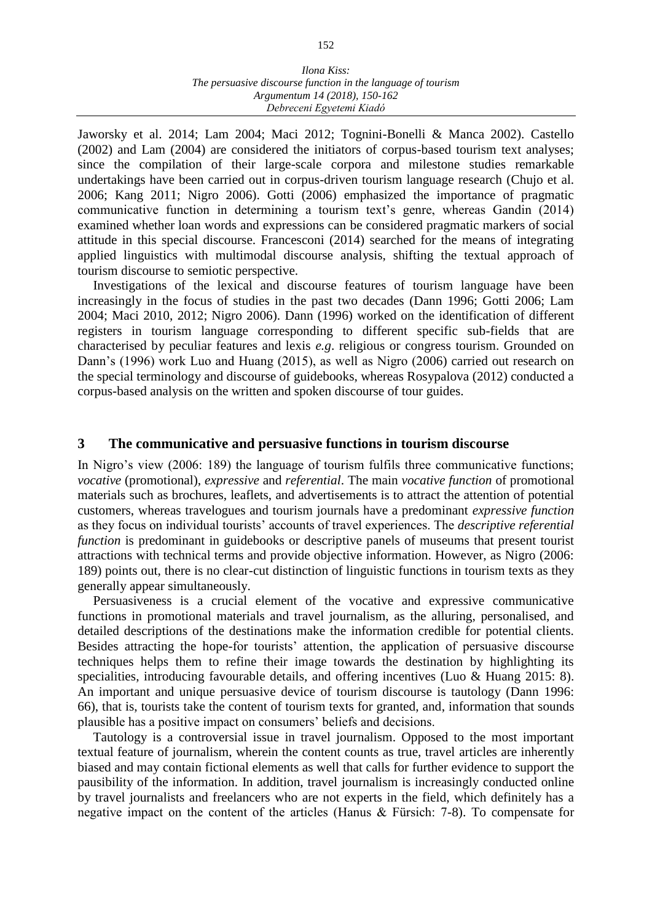#### *Ilona Kiss: The persuasive discourse function in the language of tourism Argumentum 14 (2018), 150-162 Debreceni Egyetemi Kiadó*

Jaworsky et al. 2014; Lam 2004; Maci 2012; Tognini-Bonelli & Manca 2002). Castello (2002) and Lam (2004) are considered the initiators of corpus-based tourism text analyses; since the compilation of their large-scale corpora and milestone studies remarkable undertakings have been carried out in corpus-driven tourism language research (Chujo et al. 2006; Kang 2011; Nigro 2006). Gotti (2006) emphasized the importance of pragmatic communicative function in determining a tourism text's genre, whereas Gandin (2014) examined whether loan words and expressions can be considered pragmatic markers of social attitude in this special discourse. Francesconi (2014) searched for the means of integrating applied linguistics with multimodal discourse analysis, shifting the textual approach of tourism discourse to semiotic perspective.

Investigations of the lexical and discourse features of tourism language have been increasingly in the focus of studies in the past two decades (Dann 1996; Gotti 2006; Lam 2004; Maci 2010, 2012; Nigro 2006). Dann (1996) worked on the identification of different registers in tourism language corresponding to different specific sub-fields that are characterised by peculiar features and lexis *e.g*. religious or congress tourism. Grounded on Dann's (1996) work Luo and Huang (2015), as well as Nigro (2006) carried out research on the special terminology and discourse of guidebooks, whereas Rosypalova (2012) conducted a corpus-based analysis on the written and spoken discourse of tour guides.

#### **3 The communicative and persuasive functions in tourism discourse**

In Nigro's view (2006: 189) the language of tourism fulfils three communicative functions; *vocative* (promotional), *expressive* and *referential*. The main *vocative function* of promotional materials such as brochures, leaflets, and advertisements is to attract the attention of potential customers, whereas travelogues and tourism journals have a predominant *expressive function* as they focus on individual tourists' accounts of travel experiences. The *descriptive referential function* is predominant in guidebooks or descriptive panels of museums that present tourist attractions with technical terms and provide objective information. However, as Nigro (2006: 189) points out, there is no clear-cut distinction of linguistic functions in tourism texts as they generally appear simultaneously.

Persuasiveness is a crucial element of the vocative and expressive communicative functions in promotional materials and travel journalism, as the alluring, personalised, and detailed descriptions of the destinations make the information credible for potential clients. Besides attracting the hope-for tourists' attention, the application of persuasive discourse techniques helps them to refine their image towards the destination by highlighting its specialities, introducing favourable details, and offering incentives (Luo & Huang 2015: 8). An important and unique persuasive device of tourism discourse is tautology (Dann 1996: 66), that is, tourists take the content of tourism texts for granted, and, information that sounds plausible has a positive impact on consumers' beliefs and decisions.

Tautology is a controversial issue in travel journalism. Opposed to the most important textual feature of journalism, wherein the content counts as true, travel articles are inherently biased and may contain fictional elements as well that calls for further evidence to support the pausibility of the information. In addition, travel journalism is increasingly conducted online by travel journalists and freelancers who are not experts in the field, which definitely has a negative impact on the content of the articles (Hanus & Fürsich: 7-8). To compensate for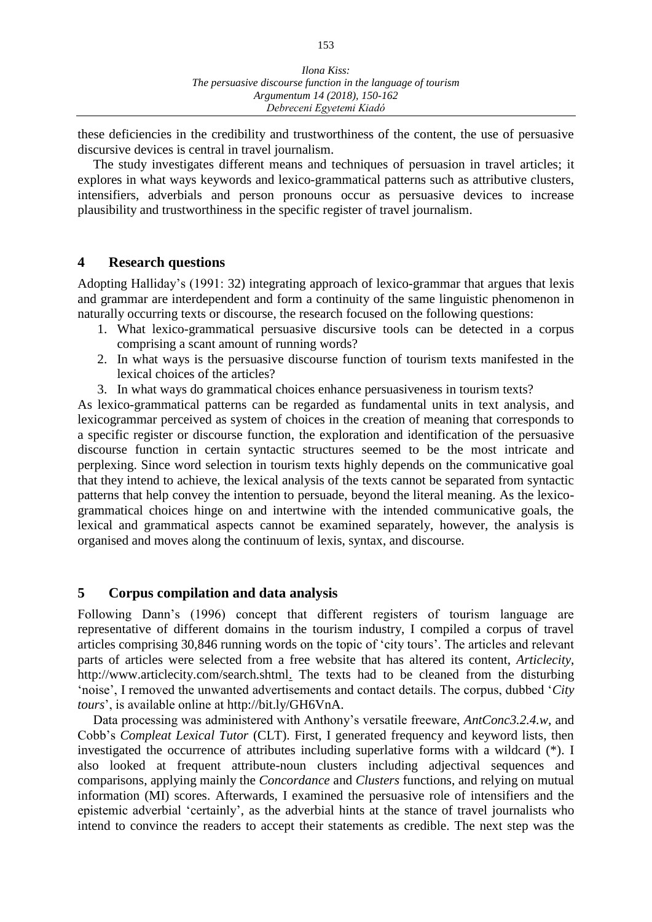these deficiencies in the credibility and trustworthiness of the content, the use of persuasive discursive devices is central in travel journalism.

The study investigates different means and techniques of persuasion in travel articles; it explores in what ways keywords and lexico-grammatical patterns such as attributive clusters, intensifiers, adverbials and person pronouns occur as persuasive devices to increase plausibility and trustworthiness in the specific register of travel journalism.

#### **4 Research questions**

Adopting Halliday's (1991: 32) integrating approach of lexico-grammar that argues that lexis and grammar are interdependent and form a continuity of the same linguistic phenomenon in naturally occurring texts or discourse, the research focused on the following questions:

- 1. What lexico-grammatical persuasive discursive tools can be detected in a corpus comprising a scant amount of running words?
- 2. In what ways is the persuasive discourse function of tourism texts manifested in the lexical choices of the articles?
- 3. In what ways do grammatical choices enhance persuasiveness in tourism texts?

As lexico-grammatical patterns can be regarded as fundamental units in text analysis, and lexicogrammar perceived as system of choices in the creation of meaning that corresponds to a specific register or discourse function, the exploration and identification of the persuasive discourse function in certain syntactic structures seemed to be the most intricate and perplexing. Since word selection in tourism texts highly depends on the communicative goal that they intend to achieve, the lexical analysis of the texts cannot be separated from syntactic patterns that help convey the intention to persuade, beyond the literal meaning. As the lexicogrammatical choices hinge on and intertwine with the intended communicative goals, the lexical and grammatical aspects cannot be examined separately, however, the analysis is organised and moves along the continuum of lexis, syntax, and discourse.

### **5 Corpus compilation and data analysis**

Following Dann's (1996) concept that different registers of tourism language are representative of different domains in the tourism industry, I compiled a corpus of travel articles comprising 30,846 running words on the topic of 'city tours'. The articles and relevant parts of articles were selected from a free website that has altered its content, *Articlecity*, http://www.articlecity.com/search.shtml. The texts had to be cleaned from the disturbing 'noise', I removed the unwanted advertisements and contact details. The corpus, dubbed '*City tours*', is available online at http://bit.ly/GH6VnA.

Data processing was administered with Anthony's versatile freeware, *AntConc3.2.4.w*, and Cobb's *Compleat Lexical Tutor* (CLT). First, I generated frequency and keyword lists, then investigated the occurrence of attributes including superlative forms with a wildcard (\*). I also looked at frequent attribute-noun clusters including adjectival sequences and comparisons, applying mainly the *Concordance* and *Clusters* functions, and relying on mutual information (MI) scores. Afterwards, I examined the persuasive role of intensifiers and the epistemic adverbial 'certainly', as the adverbial hints at the stance of travel journalists who intend to convince the readers to accept their statements as credible. The next step was the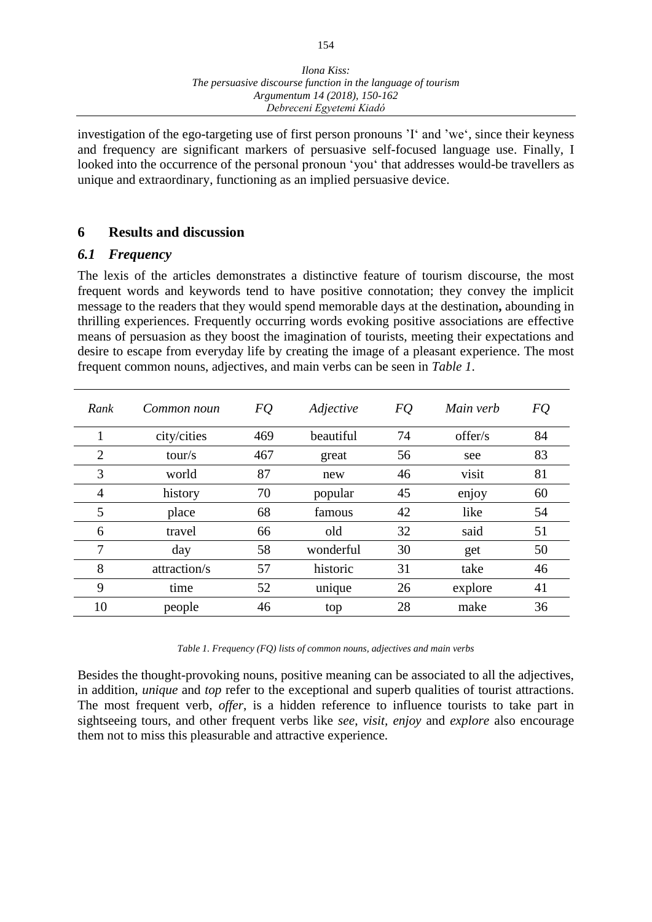investigation of the ego-targeting use of first person pronouns 'I' and 'we', since their keyness and frequency are significant markers of persuasive self-focused language use. Finally, I looked into the occurrence of the personal pronoun 'you' that addresses would-be travellers as unique and extraordinary, functioning as an implied persuasive device.

### **6 Results and discussion**

### *6.1 Frequency*

The lexis of the articles demonstrates a distinctive feature of tourism discourse, the most frequent words and keywords tend to have positive connotation; they convey the implicit message to the readers that they would spend memorable days at the destination**,** abounding in thrilling experiences. Frequently occurring words evoking positive associations are effective means of persuasion as they boost the imagination of tourists, meeting their expectations and desire to escape from everyday life by creating the image of a pleasant experience. The most frequent common nouns, adjectives, and main verbs can be seen in *Table 1*.

| Common noun  | FQ  | Adjective | FQ | Main verb | FQ |
|--------------|-----|-----------|----|-----------|----|
| city/cities  | 469 | beautiful | 74 | offer/s   | 84 |
| tour/s       | 467 | great     | 56 | see       | 83 |
| world        | 87  | new       | 46 | visit     | 81 |
| history      | 70  | popular   | 45 | enjoy     | 60 |
| place        | 68  | famous    | 42 | like      | 54 |
| travel       | 66  | old       | 32 | said      | 51 |
| day          | 58  | wonderful | 30 | get       | 50 |
| attraction/s | 57  | historic  | 31 | take      | 46 |
| time         | 52  | unique    | 26 | explore   | 41 |
| people       | 46  | top       | 28 | make      | 36 |
|              |     |           |    |           |    |

*Table 1. Frequency (FQ) lists of common nouns, adjectives and main verbs*

Besides the thought-provoking nouns, positive meaning can be associated to all the adjectives, in addition, *unique* and *top* refer to the exceptional and superb qualities of tourist attractions. The most frequent verb, *offer*, is a hidden reference to influence tourists to take part in sightseeing tours, and other frequent verbs like *see*, *visit, enjoy* and *explore* also encourage them not to miss this pleasurable and attractive experience.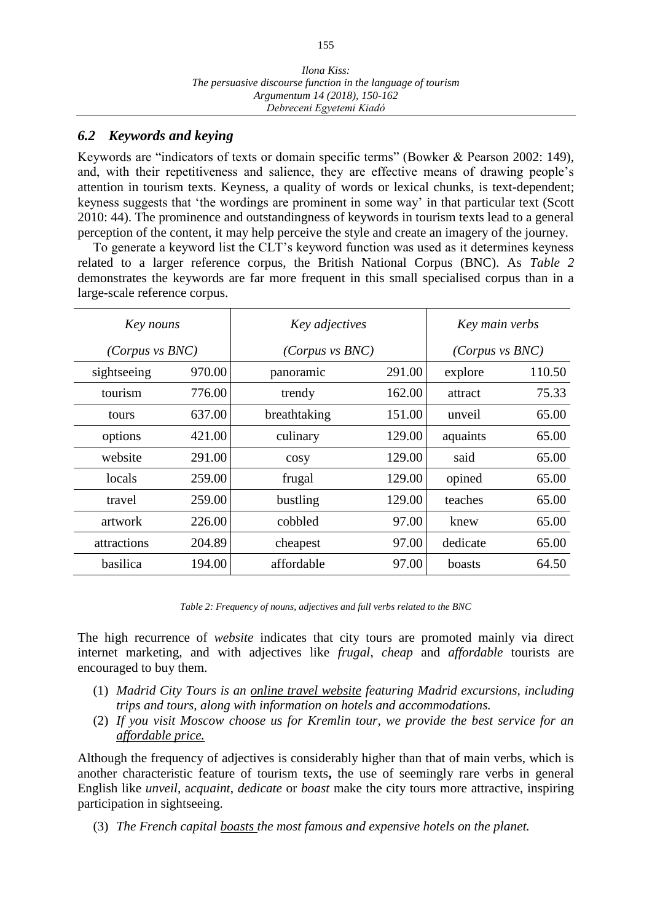### *6.2 Keywords and keying*

Keywords are "indicators of texts or domain specific terms" (Bowker & Pearson 2002: 149), and, with their repetitiveness and salience, they are effective means of drawing people's attention in tourism texts. Keyness, a quality of words or lexical chunks, is text-dependent; keyness suggests that 'the wordings are prominent in some way' in that particular text (Scott 2010: 44). The prominence and outstandingness of keywords in tourism texts lead to a general perception of the content, it may help perceive the style and create an imagery of the journey.

To generate a keyword list the CLT's keyword function was used as it determines keyness related to a larger reference corpus, the British National Corpus (BNC). As *Table 2* demonstrates the keywords are far more frequent in this small specialised corpus than in a large-scale reference corpus.

| Key nouns       |        | Key adjectives  | Key main verbs  |          |        |
|-----------------|--------|-----------------|-----------------|----------|--------|
| (Corpus vs BNC) |        | (Corpus vs BNC) | (Corpus vs BNC) |          |        |
| sightseeing     | 970.00 | panoramic       | 291.00          | explore  | 110.50 |
| tourism         | 776.00 | trendy          | 162.00          | attract  | 75.33  |
| tours           | 637.00 | breathtaking    | 151.00          | unveil   | 65.00  |
| options         | 421.00 | culinary        | 129.00          | aquaints | 65.00  |
| website         | 291.00 | cosy            | 129.00          | said     | 65.00  |
| locals          | 259.00 | frugal          | 129.00          | opined   | 65.00  |
| travel          | 259.00 | bustling        | 129.00          | teaches  | 65.00  |
| artwork         | 226.00 | cobbled         | 97.00           | knew     | 65.00  |
| attractions     | 204.89 | cheapest        | 97.00           | dedicate | 65.00  |
| basilica        | 194.00 | affordable      | 97.00           | boasts   | 64.50  |

*Table 2: Frequency of nouns, adjectives and full verbs related to the BNC*

The high recurrence of *website* indicates that city tours are promoted mainly via direct internet marketing, and with adjectives like *frugal*, *cheap* and *affordable* tourists are encouraged to buy them.

- (1) *Madrid City Tours is an online travel website featuring Madrid excursions, including trips and tours, along with information on hotels and accommodations.*
- (2) *If you visit Moscow choose us for Kremlin tour, we provide the best service for an affordable price.*

Although the frequency of adjectives is considerably higher than that of main verbs, which is another characteristic feature of tourism texts**,** the use of seemingly rare verbs in general English like *unveil*, a*cquaint*, *dedicate* or *boast* make the city tours more attractive, inspiring participation in sightseeing.

(3) *The French capital boasts the most famous and expensive hotels on the planet.*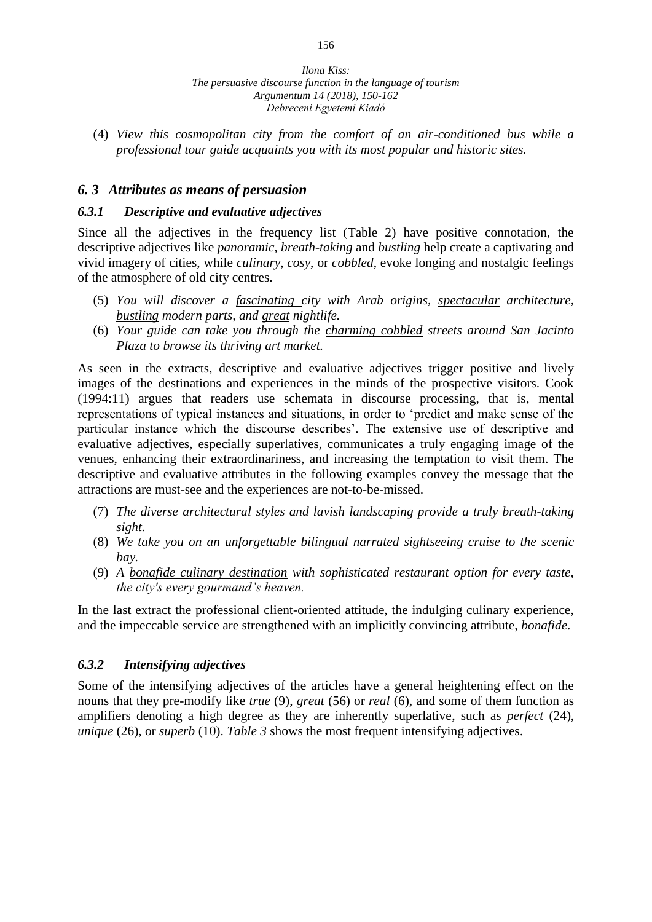(4) *View this cosmopolitan city from the comfort of an air-conditioned bus while a professional tour guide acquaints you with its most popular and historic sites.*

#### *6. 3 Attributes as means of persuasion*

#### *6.3.1 Descriptive and evaluative adjectives*

Since all the adjectives in the frequency list (Table 2) have positive connotation, the descriptive adjectives like *panoramic*, *breath-taking* and *bustling* help create a captivating and vivid imagery of cities, while *culinary*, *cosy*, or *cobbled*, evoke longing and nostalgic feelings of the atmosphere of old city centres.

- (5) *You will discover a fascinating city with Arab origins, spectacular architecture, bustling modern parts, and great nightlife.*
- (6) *Your guide can take you through the charming cobbled streets around San Jacinto Plaza to browse its thriving art market.*

As seen in the extracts, descriptive and evaluative adjectives trigger positive and lively images of the destinations and experiences in the minds of the prospective visitors. Cook (1994:11) argues that readers use schemata in discourse processing, that is, mental representations of typical instances and situations, in order to 'predict and make sense of the particular instance which the discourse describes'. The extensive use of descriptive and evaluative adjectives, especially superlatives, communicates a truly engaging image of the venues, enhancing their extraordinariness, and increasing the temptation to visit them. The descriptive and evaluative attributes in the following examples convey the message that the attractions are must-see and the experiences are not-to-be-missed.

- (7) *The diverse architectural styles and lavish landscaping provide a truly breath-taking sight.*
- (8) *We take you on an unforgettable bilingual narrated sightseeing cruise to the scenic bay.*
- (9) *A bonafide culinary destination with sophisticated restaurant option for every taste, the city's every gourmand's heaven.*

In the last extract the professional client-oriented attitude, the indulging culinary experience, and the impeccable service are strengthened with an implicitly convincing attribute, *bonafide*.

#### *6.3.2 Intensifying adjectives*

Some of the intensifying adjectives of the articles have a general heightening effect on the nouns that they pre-modify like *true* (9), *great* (56) or *real* (6), and some of them function as amplifiers denoting a high degree as they are inherently superlative, such as *perfect* (24), *unique* (26), or *superb* (10). *Table 3* shows the most frequent intensifying adjectives.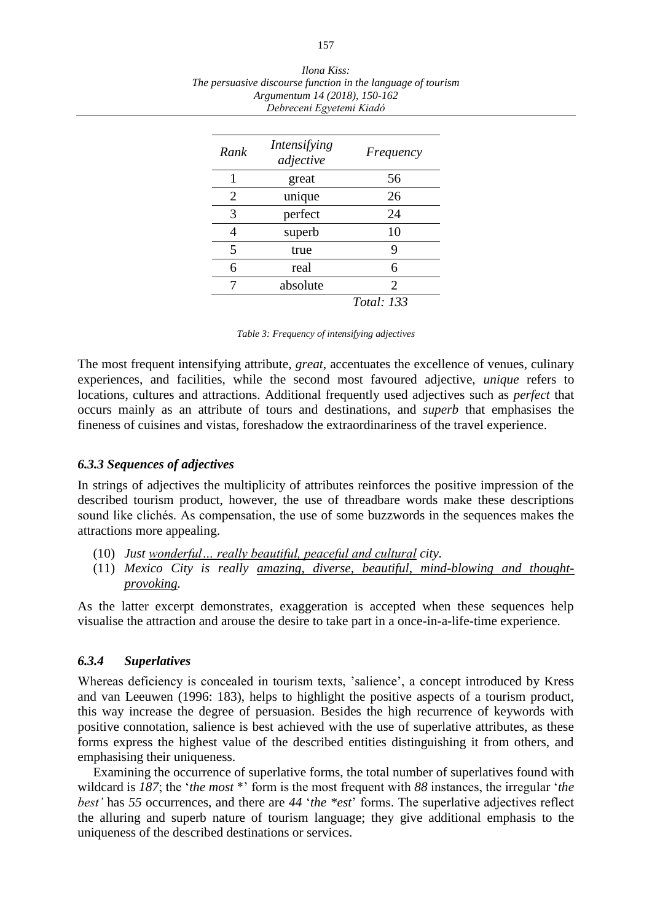| Rank | Intensifying<br>adjective | Frequency         |
|------|---------------------------|-------------------|
|      | great                     | 56                |
| 2    | unique                    | 26                |
| 3    | perfect                   | 24                |
|      | superb                    | 10                |
| 5    | true                      | 9                 |
| 6    | real                      | 6                 |
|      | absolute                  | $\overline{2}$    |
|      |                           | <i>Total: 133</i> |

*Ilona Kiss: The persuasive discourse function in the language of tourism Argumentum 14 (2018), 150-162 Debreceni Egyetemi Kiadó*

*Table 3: Frequency of intensifying adjectives*

The most frequent intensifying attribute, *great*, accentuates the excellence of venues, culinary experiences, and facilities, while the second most favoured adjective, *unique* refers to locations, cultures and attractions. Additional frequently used adjectives such as *perfect* that occurs mainly as an attribute of tours and destinations, and *superb* that emphasises the fineness of cuisines and vistas, foreshadow the extraordinariness of the travel experience.

#### *6.3.3 Sequences of adjectives*

In strings of adjectives the multiplicity of attributes reinforces the positive impression of the described tourism product, however, the use of threadbare words make these descriptions sound like clichés. As compensation, the use of some buzzwords in the sequences makes the attractions more appealing.

- (10) *Just wonderful… really beautiful, peaceful and cultural city.*
- (11) *Mexico City is really amazing, diverse, beautiful, mind-blowing and thoughtprovoking.*

As the latter excerpt demonstrates, exaggeration is accepted when these sequences help visualise the attraction and arouse the desire to take part in a once-in-a-life-time experience.

#### *6.3.4 Superlatives*

Whereas deficiency is concealed in tourism texts, 'salience', a concept introduced by Kress and van Leeuwen (1996: 183), helps to highlight the positive aspects of a tourism product, this way increase the degree of persuasion. Besides the high recurrence of keywords with positive connotation, salience is best achieved with the use of superlative attributes, as these forms express the highest value of the described entities distinguishing it from others, and emphasising their uniqueness.

Examining the occurrence of superlative forms, the total number of superlatives found with wildcard is 187; the '*the most* \*' form is the most frequent with 88 instances, the irregular '*the best'* has *55* occurrences, and there are *44* '*the \*est*' forms. The superlative adjectives reflect the alluring and superb nature of tourism language; they give additional emphasis to the uniqueness of the described destinations or services.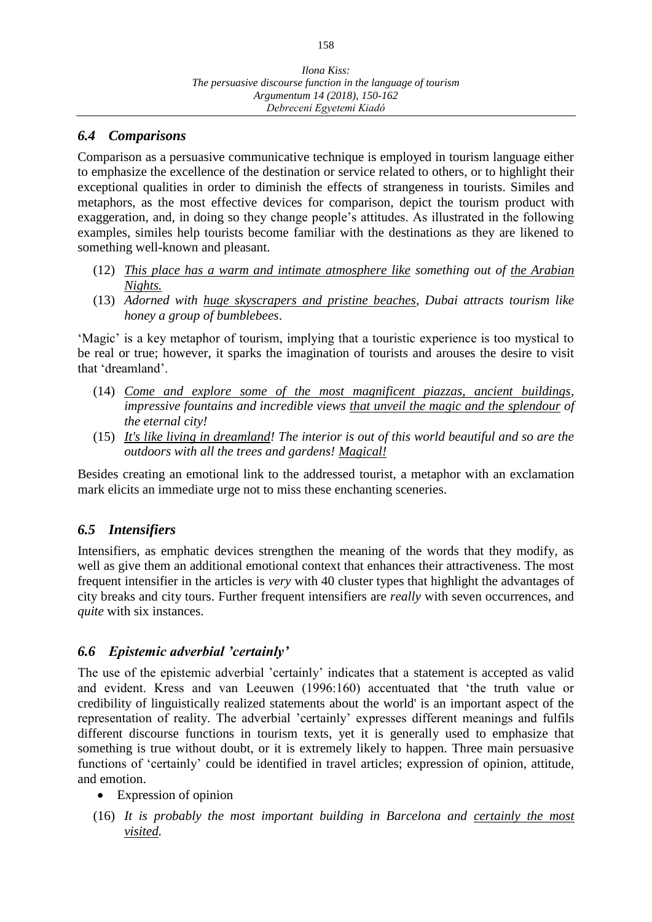## *6.4 Comparisons*

Comparison as a persuasive communicative technique is employed in tourism language either to emphasize the excellence of the destination or service related to others, or to highlight their exceptional qualities in order to diminish the effects of strangeness in tourists. Similes and metaphors, as the most effective devices for comparison, depict the tourism product with exaggeration, and, in doing so they change people's attitudes. As illustrated in the following examples, similes help tourists become familiar with the destinations as they are likened to something well-known and pleasant.

- (12) *This place has a warm and intimate atmosphere like something out of the Arabian Nights.*
- (13) *Adorned with huge skyscrapers and pristine beaches, Dubai attracts tourism like honey a group of bumblebees*.

'Magic' is a key metaphor of tourism, implying that a touristic experience is too mystical to be real or true; however, it sparks the imagination of tourists and arouses the desire to visit that 'dreamland'.

- (14) *Come and explore some of the most magnificent piazzas, ancient buildings, impressive fountains and incredible views that unveil the magic and the splendour of the eternal city!*
- (15) *It's like living in dreamland! The interior is out of this world beautiful and so are the outdoors with all the trees and gardens! Magical!*

Besides creating an emotional link to the addressed tourist, a metaphor with an exclamation mark elicits an immediate urge not to miss these enchanting sceneries.

## *6.5 Intensifiers*

Intensifiers, as emphatic devices strengthen the meaning of the words that they modify, as well as give them an additional emotional context that enhances their attractiveness. The most frequent intensifier in the articles is *very* with 40 cluster types that highlight the advantages of city breaks and city tours. Further frequent intensifiers are *really* with seven occurrences, and *quite* with six instances.

### *6.6 Epistemic adverbial 'certainly'*

The use of the epistemic adverbial 'certainly' indicates that a statement is accepted as valid and evident. Kress and van Leeuwen (1996:160) accentuated that 'the truth value or credibility of linguistically realized statements about the world' is an important aspect of the representation of reality. The adverbial 'certainly' expresses different meanings and fulfils different discourse functions in tourism texts, yet it is generally used to emphasize that something is true without doubt, or it is extremely likely to happen. Three main persuasive functions of 'certainly' could be identified in travel articles; expression of opinion, attitude, and emotion.

- Expression of opinion
- (16) *It is probably the most important building in Barcelona and certainly the most visited.*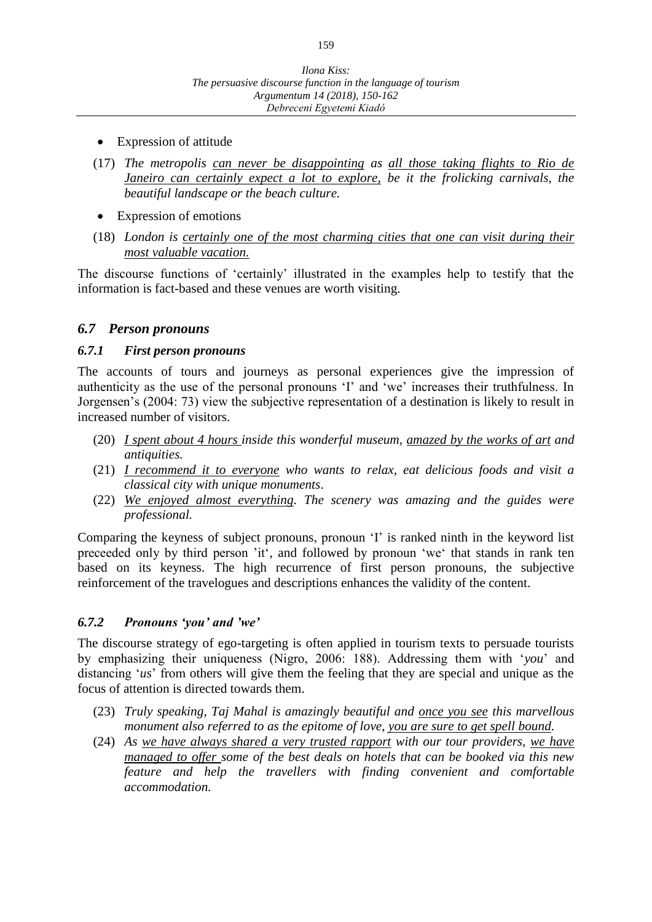- Expression of attitude
- (17) *The metropolis can never be disappointing as all those taking flights to Rio de Janeiro can certainly expect a lot to explore, be it the frolicking carnivals, the beautiful landscape or the beach culture.*
- Expression of emotions
- (18) *London is certainly one of the most charming cities that one can visit during their most valuable vacation.*

The discourse functions of 'certainly' illustrated in the examples help to testify that the information is fact-based and these venues are worth visiting.

### *6.7 Person pronouns*

#### *6.7.1 First person pronouns*

The accounts of tours and journeys as personal experiences give the impression of authenticity as the use of the personal pronouns 'I' and 'we' increases their truthfulness. In Jorgensen's (2004: 73) view the subjective representation of a destination is likely to result in increased number of visitors.

- (20) *I spent about 4 hours inside this wonderful museum, amazed by the works of art and antiquities.*
- (21) *I recommend it to everyone who wants to relax, eat delicious foods and visit a classical city with unique monuments*.
- (22) *We enjoyed almost everything. The scenery was amazing and the guides were professional.*

Comparing the keyness of subject pronouns, pronoun 'I' is ranked ninth in the keyword list preceeded only by third person 'it', and followed by pronoun 'we' that stands in rank ten based on its keyness. The high recurrence of first person pronouns, the subjective reinforcement of the travelogues and descriptions enhances the validity of the content.

#### *6.7.2 Pronouns 'you' and 'we'*

The discourse strategy of ego-targeting is often applied in tourism texts to persuade tourists by emphasizing their uniqueness (Nigro, 2006: 188). Addressing them with '*you*' and distancing '*us*' from others will give them the feeling that they are special and unique as the focus of attention is directed towards them.

- (23) *Truly speaking, Taj Mahal is amazingly beautiful and once you see this marvellous monument also referred to as the epitome of love, you are sure to get spell bound.*
- (24) *As we have always shared a very trusted rapport with our tour providers, we have managed to offer some of the best deals on hotels that can be booked via this new feature and help the travellers with finding convenient and comfortable accommodation.*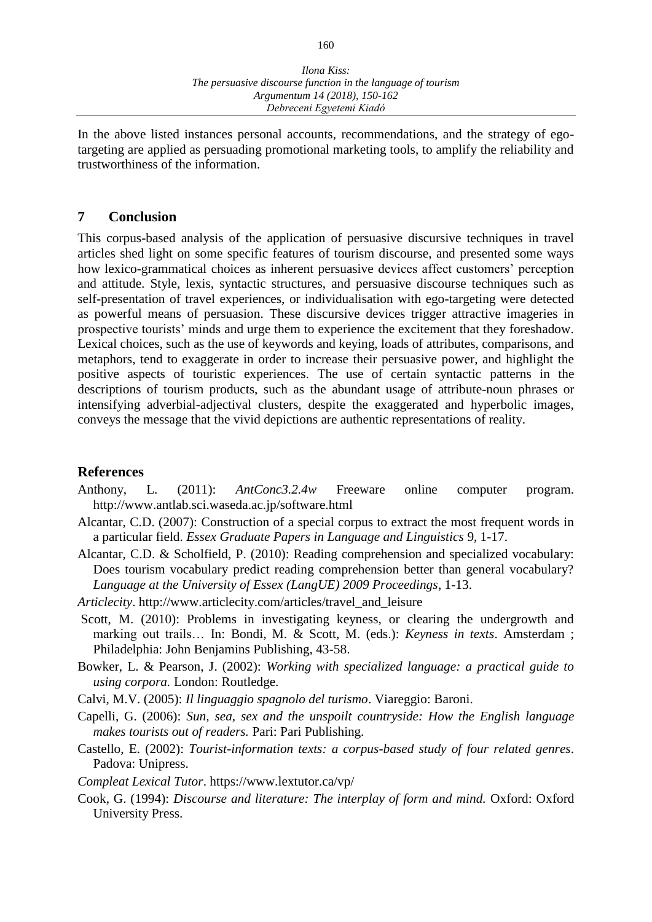In the above listed instances personal accounts, recommendations, and the strategy of egotargeting are applied as persuading promotional marketing tools, to amplify the reliability and trustworthiness of the information.

#### **7 Conclusion**

This corpus-based analysis of the application of persuasive discursive techniques in travel articles shed light on some specific features of tourism discourse, and presented some ways how lexico-grammatical choices as inherent persuasive devices affect customers' perception and attitude. Style, lexis, syntactic structures, and persuasive discourse techniques such as self-presentation of travel experiences, or individualisation with ego-targeting were detected as powerful means of persuasion. These discursive devices trigger attractive imageries in prospective tourists' minds and urge them to experience the excitement that they foreshadow. Lexical choices, such as the use of keywords and keying, loads of attributes, comparisons, and metaphors, tend to exaggerate in order to increase their persuasive power, and highlight the positive aspects of touristic experiences. The use of certain syntactic patterns in the descriptions of tourism products, such as the abundant usage of attribute-noun phrases or intensifying adverbial-adjectival clusters, despite the exaggerated and hyperbolic images, conveys the message that the vivid depictions are authentic representations of reality.

#### **References**

- Anthony, L. (2011): *AntConc3.2.4w* Freeware online computer program. http://www.antlab.sci.waseda.ac.jp/software.html
- Alcantar, C.D. (2007): Construction of a special corpus to extract the most frequent words in a particular field. *Essex Graduate Papers in Language and Linguistics* 9, 1-17.
- Alcantar, C.D. & Scholfield, P. (2010): Reading comprehension and specialized vocabulary: Does tourism vocabulary predict reading comprehension better than general vocabulary? *Language at the University of Essex (LangUE) 2009 Proceedings*, 1-13.
- *Articlecity*. http://www.articlecity.com/articles/travel\_and\_leisure
- Scott, M. (2010): Problems in investigating keyness, or clearing the undergrowth and marking out trails… In: Bondi, M. & Scott, M. (eds.): *Keyness in texts*. Amsterdam ; Philadelphia: John Benjamins Publishing, 43-58.
- Bowker, L. & Pearson, J. (2002): *Working with specialized language: a practical guide to using corpora.* London: Routledge.
- Calvi, M.V. (2005): *Il linguaggio spagnolo del turismo*. Viareggio: Baroni.
- Capelli, G. (2006): *Sun, sea, sex and the unspoilt countryside: How the English language makes tourists out of readers.* Pari: Pari Publishing.
- Castello, E. (2002): *Tourist-information texts: a corpus-based study of four related genres*. Padova: Unipress.
- *Compleat Lexical Tutor*. https://www.lextutor.ca/vp/
- Cook, G. (1994): *Discourse and literature: The interplay of form and mind.* Oxford: Oxford University Press.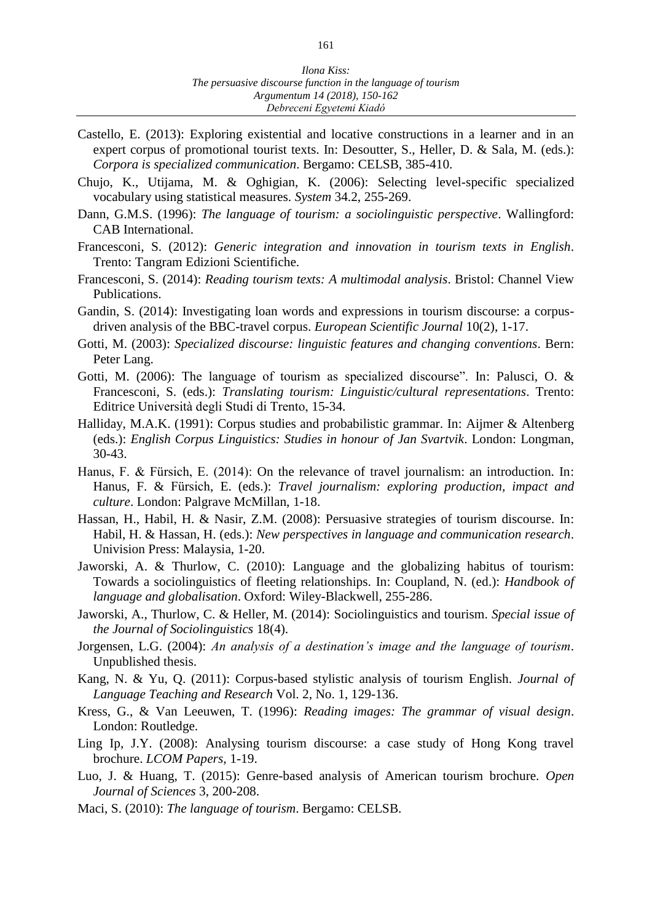- Castello, E. (2013): Exploring existential and locative constructions in a learner and in an expert corpus of promotional tourist texts. In: Desoutter, S., Heller, D. & Sala, M. (eds.): *Corpora is specialized communication*. Bergamo: CELSB, 385-410.
- Chujo, K., Utijama, M. & Oghigian, K. (2006): Selecting level-specific specialized vocabulary using statistical measures. *System* 34.2, 255-269.
- Dann, G.M.S. (1996): *The language of tourism: a sociolinguistic perspective*. Wallingford: CAB International.
- Francesconi, S. (2012): *Generic integration and innovation in tourism texts in English*. Trento: Tangram Edizioni Scientifiche.
- Francesconi, S. (2014): *Reading tourism texts: A multimodal analysis*. Bristol: Channel View Publications.
- Gandin, S. (2014): Investigating loan words and expressions in tourism discourse: a corpusdriven analysis of the BBC-travel corpus. *European Scientific Journal* 10(2), 1-17.
- Gotti, M. (2003): *Specialized discourse: linguistic features and changing conventions*. Bern: Peter Lang.
- Gotti, M. (2006): The language of tourism as specialized discourse". In: Palusci, O. & Francesconi, S. (eds.): *Translating tourism: Linguistic/cultural representations*. Trento: Editrice Università degli Studi di Trento, 15-34.
- Halliday, M.A.K. (1991): Corpus studies and probabilistic grammar. In: Aijmer & Altenberg (eds.): *English Corpus Linguistics: Studies in honour of Jan Svartvik*. London: Longman, 30-43.
- Hanus, F. & Fürsich, E. (2014): On the relevance of travel journalism: an introduction. In: Hanus, F. & Fürsich, E. (eds.): *Travel journalism: exploring production, impact and culture*. London: Palgrave McMillan, 1-18.
- Hassan, H., Habil, H. & Nasir, Z.M. (2008): Persuasive strategies of tourism discourse. In: Habil, H. & Hassan, H. (eds.): *New perspectives in language and communication research*. Univision Press: Malaysia, 1-20.
- Jaworski, A. & Thurlow, C. (2010): Language and the globalizing habitus of tourism: Towards a sociolinguistics of fleeting relationships. In: Coupland, N. (ed.): *Handbook of language and globalisation*. Oxford: Wiley-Blackwell, 255-286.
- Jaworski, A., Thurlow, C. & Heller, M. (2014): Sociolinguistics and tourism. *Special issue of the Journal of Sociolinguistics* 18(4).
- Jorgensen, L.G. (2004): *An analysis of a destination's image and the language of tourism*. Unpublished thesis.
- Kang, N. & Yu, Q. (2011): Corpus-based stylistic analysis of tourism English. *Journal of Language Teaching and Research* Vol. 2, No. 1, 129-136.
- Kress, G., & Van Leeuwen, T. (1996): *Reading images: The grammar of visual design*. London: Routledge.
- Ling Ip, J.Y. (2008): Analysing tourism discourse: a case study of Hong Kong travel brochure. *LCOM Papers*, 1-19.
- Luo, J. & Huang, T. (2015): Genre-based analysis of American tourism brochure. *Open Journal of Sciences* 3, 200-208.
- Maci, S. (2010): *The language of tourism*. Bergamo: CELSB.